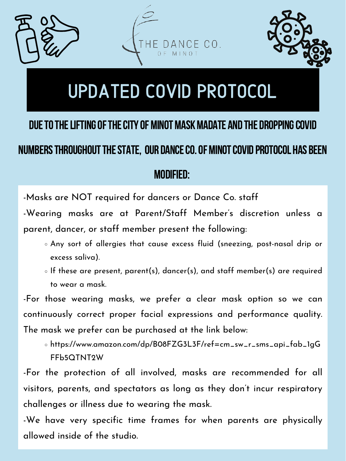## modified:



## DUE TO THE LIFTING OF THE CITY OF MINOT MASK MADATE AND THE DROPPING COVID NUMBERS THROUGHOUT THE STATE, OUR DANCE CO. OF MINOT COVID PROTOCOL HAS BEEN

-Masks are NOT required for dancers or Dance Co. staff -Wearing masks are at Parent/Staff Member ' s discretion unless a parent, dancer, or staff member present the following:

- Any sort of allergies that cause excess fluid (sneezing, post-nasal drip or excess saliva).
- $\circ$  If these are present, parent(s), dancer(s), and staff member(s) are required to wear a mask.
- -For those wearing masks, we prefer a clear mask option so we can continuously correct proper facial expressions and performance quality. The mask we prefer can be purchased at the link below:
	- https://www.amazon.com/dp/B08FZG3L3F/ref=cm\_sw\_r\_sms\_api\_fab\_1gG FFb5QTNT2W
- -For the protection of all involved, masks are recommended for all visitors, parents, and spectators as long as they don 't incur respiratory challenges or illness due to wearing the mask.
- -We have very specific time frames for when parents are physically allowed inside of the studio.